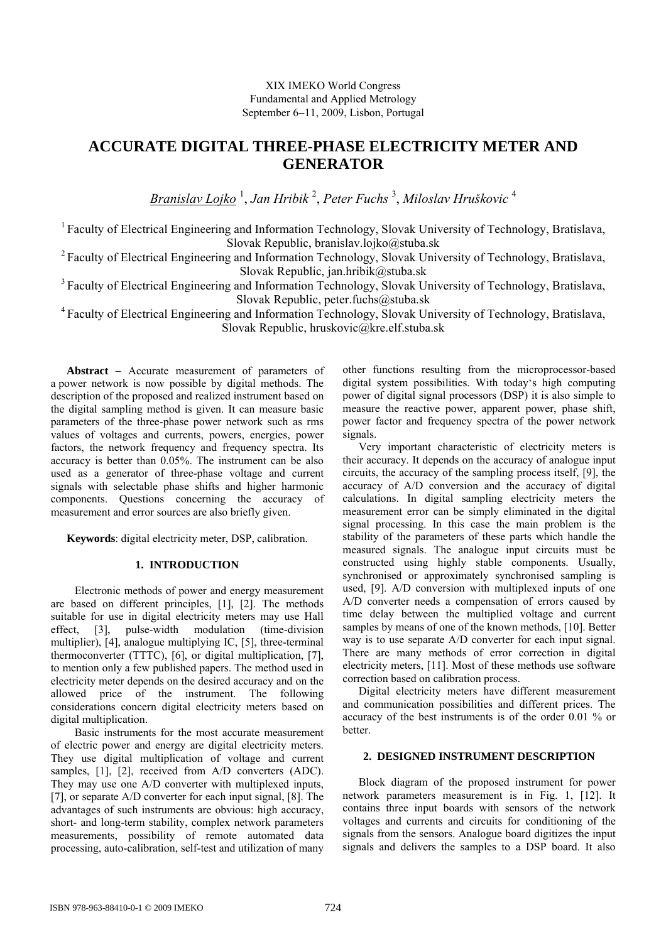# XIX IMEKO World Congress Fundamental and Applied Metrology September 6−11, 2009, Lisbon, Portugal

# **ACCURATE DIGITAL THREE-PHASE ELECTRICITY METER AND GENERATOR**

*Branislav Lojko* <sup>1</sup> , *Jan Hribik* <sup>2</sup> , *Peter Fuchs* <sup>3</sup> , *Miloslav Hruškovic* <sup>4</sup> 

<sup>1</sup> Faculty of Electrical Engineering and Information Technology, Slovak University of Technology, Bratislava, Slovak Republic, branislav.lojko@stuba.sk

<sup>2</sup> Faculty of Electrical Engineering and Information Technology, Slovak University of Technology, Bratislava, Slovak Republic, jan.hribik@stuba.sk

<sup>3</sup> Faculty of Electrical Engineering and Information Technology, Slovak University of Technology, Bratislava, Slovak Republic, peter.fuchs@stuba.sk

4 Faculty of Electrical Engineering and Information Technology, Slovak University of Technology, Bratislava, Slovak Republic, hruskovic@kre.elf.stuba.sk

**Abstract** − Accurate measurement of parameters of a power network is now possible by digital methods. The description of the proposed and realized instrument based on the digital sampling method is given. It can measure basic parameters of the three-phase power network such as rms values of voltages and currents, powers, energies, power factors, the network frequency and frequency spectra. Its accuracy is better than 0.05%. The instrument can be also used as a generator of three-phase voltage and current signals with selectable phase shifts and higher harmonic components. Questions concerning the accuracy of measurement and error sources are also briefly given.

**Keywords**: digital electricity meter, DSP, calibration.

# **1. INTRODUCTION**

Electronic methods of power and energy measurement are based on different principles, [1], [2]. The methods suitable for use in digital electricity meters may use Hall effect, [3], pulse-width modulation (time-division multiplier), [4], analogue multiplying IC, [5], three-terminal thermoconverter (TTTC), [6], or digital multiplication, [7], to mention only a few published papers. The method used in electricity meter depends on the desired accuracy and on the allowed price of the instrument. The following considerations concern digital electricity meters based on digital multiplication.

Basic instruments for the most accurate measurement of electric power and energy are digital electricity meters. They use digital multiplication of voltage and current samples, [1], [2], received from A/D converters (ADC). They may use one A/D converter with multiplexed inputs, [7], or separate A/D converter for each input signal, [8]. The advantages of such instruments are obvious: high accuracy, short- and long-term stability, complex network parameters measurements, possibility of remote automated data processing, auto-calibration, self-test and utilization of many

other functions resulting from the microprocessor-based digital system possibilities. With today's high computing power of digital signal processors (DSP) it is also simple to measure the reactive power, apparent power, phase shift, power factor and frequency spectra of the power network signals.

Very important characteristic of electricity meters is their accuracy. It depends on the accuracy of analogue input circuits, the accuracy of the sampling process itself, [9], the accuracy of A/D conversion and the accuracy of digital calculations. In digital sampling electricity meters the measurement error can be simply eliminated in the digital signal processing. In this case the main problem is the stability of the parameters of these parts which handle the measured signals. The analogue input circuits must be constructed using highly stable components. Usually, synchronised or approximately synchronised sampling is used, [9]. A/D conversion with multiplexed inputs of one A/D converter needs a compensation of errors caused by time delay between the multiplied voltage and current samples by means of one of the known methods, [10]. Better way is to use separate A/D converter for each input signal. There are many methods of error correction in digital electricity meters, [11]. Most of these methods use software correction based on calibration process.

Digital electricity meters have different measurement and communication possibilities and different prices. The accuracy of the best instruments is of the order 0.01 % or better.

# **2. DESIGNED INSTRUMENT DESCRIPTION**

Block diagram of the proposed instrument for power network parameters measurement is in Fig. 1, [12]. It contains three input boards with sensors of the network voltages and currents and circuits for conditioning of the signals from the sensors. Analogue board digitizes the input signals and delivers the samples to a DSP board. It also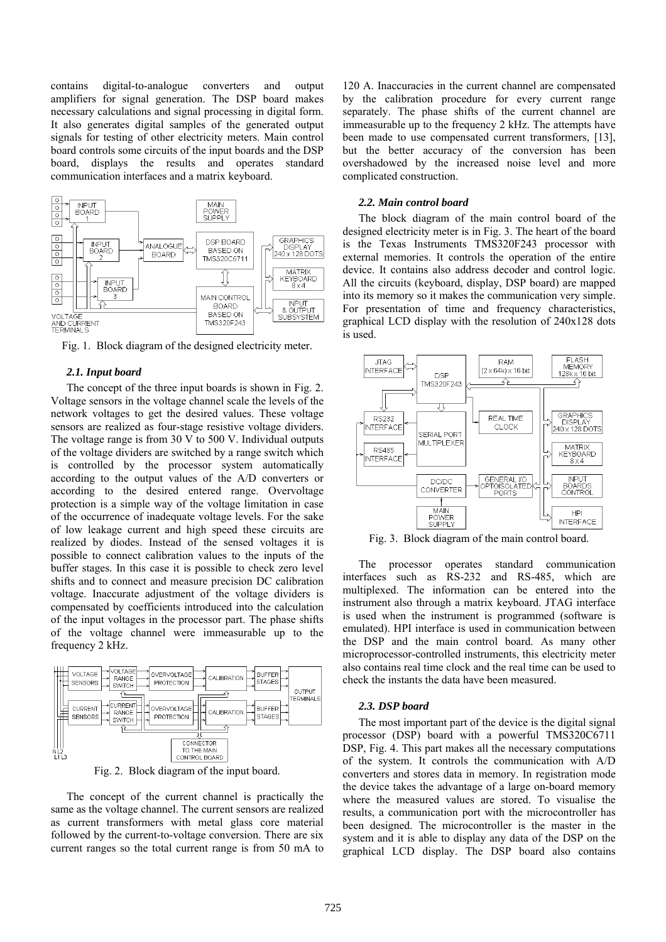contains digital-to-analogue converters and output amplifiers for signal generation. The DSP board makes necessary calculations and signal processing in digital form. It also generates digital samples of the generated output signals for testing of other electricity meters. Main control board controls some circuits of the input boards and the DSP board, displays the results and operates standard communication interfaces and a matrix keyboard.



Fig. 1. Block diagram of the designed electricity meter.

## *2.1. Input board*

The concept of the three input boards is shown in Fig. 2. Voltage sensors in the voltage channel scale the levels of the network voltages to get the desired values. These voltage sensors are realized as four-stage resistive voltage dividers. The voltage range is from 30 V to 500 V. Individual outputs of the voltage dividers are switched by a range switch which is controlled by the processor system automatically according to the output values of the A/D converters or according to the desired entered range. Overvoltage protection is a simple way of the voltage limitation in case of the occurrence of inadequate voltage levels. For the sake of low leakage current and high speed these circuits are realized by diodes. Instead of the sensed voltages it is possible to connect calibration values to the inputs of the buffer stages. In this case it is possible to check zero level shifts and to connect and measure precision DC calibration voltage. Inaccurate adjustment of the voltage dividers is compensated by coefficients introduced into the calculation of the input voltages in the processor part. The phase shifts of the voltage channel were immeasurable up to the frequency 2 kHz.



Fig. 2. Block diagram of the input board.

The concept of the current channel is practically the same as the voltage channel. The current sensors are realized as current transformers with metal glass core material followed by the current-to-voltage conversion. There are six current ranges so the total current range is from 50 mA to

120 A. Inaccuracies in the current channel are compensated by the calibration procedure for every current range separately. The phase shifts of the current channel are immeasurable up to the frequency 2 kHz. The attempts have been made to use compensated current transformers, [13], but the better accuracy of the conversion has been overshadowed by the increased noise level and more complicated construction.

# *2.2. Main control board*

The block diagram of the main control board of the designed electricity meter is in Fig. 3. The heart of the board is the Texas Instruments TMS320F243 processor with external memories. It controls the operation of the entire device. It contains also address decoder and control logic. All the circuits (keyboard, display, DSP board) are mapped into its memory so it makes the communication very simple. For presentation of time and frequency characteristics, graphical LCD display with the resolution of 240x128 dots is used.



Fig. 3. Block diagram of the main control board.

The processor operates standard communication interfaces such as RS-232 and RS-485, which are multiplexed. The information can be entered into the instrument also through a matrix keyboard. JTAG interface is used when the instrument is programmed (software is emulated). HPI interface is used in communication between the DSP and the main control board. As many other microprocessor-controlled instruments, this electricity meter also contains real time clock and the real time can be used to check the instants the data have been measured.

# *2.3. DSP board*

The most important part of the device is the digital signal processor (DSP) board with a powerful TMS320C6711 DSP, Fig. 4. This part makes all the necessary computations of the system. It controls the communication with A/D converters and stores data in memory. In registration mode the device takes the advantage of a large on-board memory where the measured values are stored. To visualise the results, a communication port with the microcontroller has been designed. The microcontroller is the master in the system and it is able to display any data of the DSP on the graphical LCD display. The DSP board also contains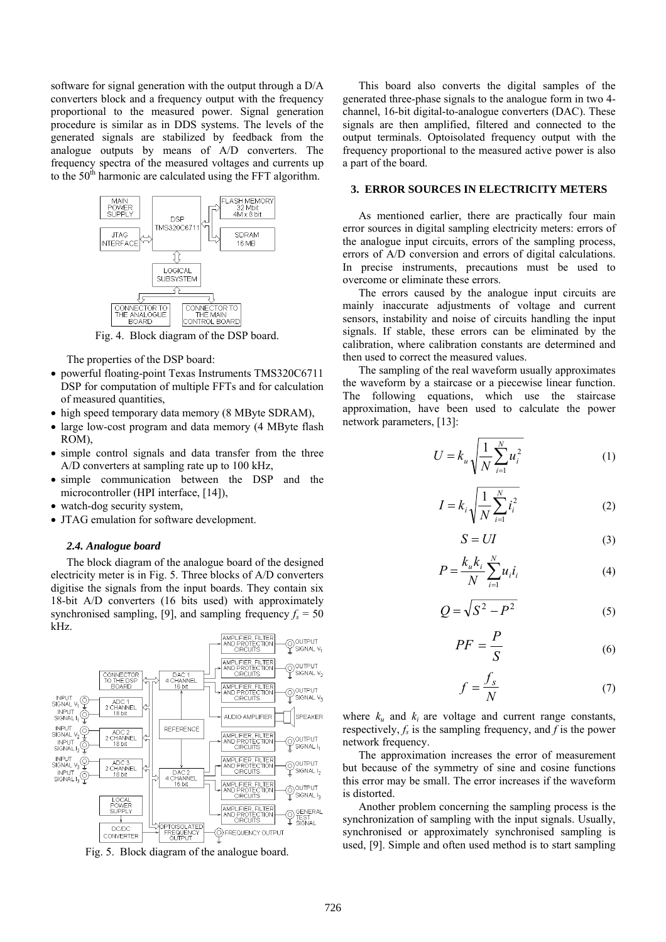software for signal generation with the output through a D/A converters block and a frequency output with the frequency proportional to the measured power. Signal generation procedure is similar as in DDS systems. The levels of the generated signals are stabilized by feedback from the analogue outputs by means of A/D converters. The frequency spectra of the measured voltages and currents up to the  $50<sup>th</sup>$  harmonic are calculated using the FFT algorithm.



Fig. 4. Block diagram of the DSP board.

The properties of the DSP board:

- powerful floating-point Texas Instruments TMS320C6711 DSP for computation of multiple FFTs and for calculation of measured quantities,
- high speed temporary data memory (8 MByte SDRAM),
- large low-cost program and data memory (4 MByte flash) ROM),
- simple control signals and data transfer from the three A/D converters at sampling rate up to 100 kHz,
- simple communication between the DSP and the microcontroller (HPI interface, [14]),
- watch-dog security system,
- JTAG emulation for software development.

# *2.4. Analogue board*

The block diagram of the analogue board of the designed electricity meter is in Fig. 5. Three blocks of A/D converters digitise the signals from the input boards. They contain six 18-bit A/D converters (16 bits used) with approximately synchronised sampling, [9], and sampling frequency  $f_s = 50$ kHz.



Fig. 5. Block diagram of the analogue board.

This board also converts the digital samples of the generated three-phase signals to the analogue form in two 4 channel, 16-bit digital-to-analogue converters (DAC). These signals are then amplified, filtered and connected to the output terminals. Optoisolated frequency output with the frequency proportional to the measured active power is also a part of the board.

# **3. ERROR SOURCES IN ELECTRICITY METERS**

As mentioned earlier, there are practically four main error sources in digital sampling electricity meters: errors of the analogue input circuits, errors of the sampling process, errors of A/D conversion and errors of digital calculations. In precise instruments, precautions must be used to overcome or eliminate these errors.

The errors caused by the analogue input circuits are mainly inaccurate adjustments of voltage and current sensors, instability and noise of circuits handling the input signals. If stable, these errors can be eliminated by the calibration, where calibration constants are determined and then used to correct the measured values.

The sampling of the real waveform usually approximates the waveform by a staircase or a piecewise linear function. The following equations, which use the staircase approximation, have been used to calculate the power network parameters, [13]:

$$
U = k_u \sqrt{\frac{1}{N} \sum_{i=1}^{N} u_i^2}
$$
 (1)

$$
I = k_i \sqrt{\frac{1}{N} \sum_{i=1}^{N} i_i^2}
$$
 (2)

$$
S = UI \tag{3}
$$

$$
P = \frac{k_{u}k_{i}}{N} \sum_{i=1}^{N} u_{i}i_{i}
$$
 (4)

$$
Q = \sqrt{S^2 - P^2} \tag{5}
$$

$$
PF = \frac{P}{S} \tag{6}
$$

$$
f = \frac{f_s}{N} \tag{7}
$$

where  $k_u$  and  $k_i$  are voltage and current range constants, respectively,  $f_s$  is the sampling frequency, and  $f$  is the power network frequency.

The approximation increases the error of measurement but because of the symmetry of sine and cosine functions this error may be small. The error increases if the waveform is distorted.

Another problem concerning the sampling process is the synchronization of sampling with the input signals. Usually, synchronised or approximately synchronised sampling is used, [9]. Simple and often used method is to start sampling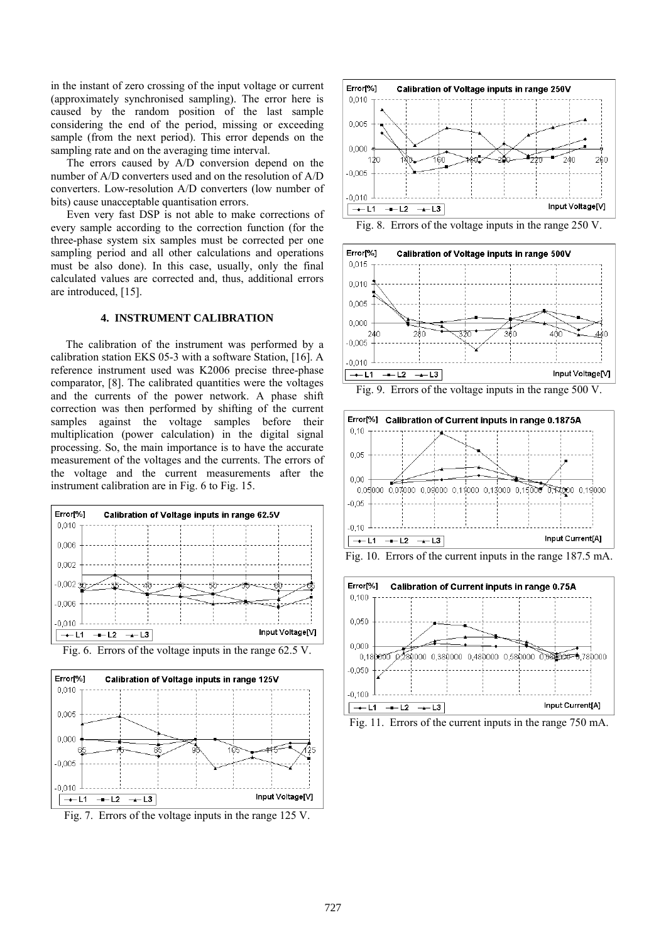in the instant of zero crossing of the input voltage or current (approximately synchronised sampling). The error here is caused by the random position of the last sample considering the end of the period, missing or exceeding sample (from the next period). This error depends on the sampling rate and on the averaging time interval.

The errors caused by A/D conversion depend on the number of A/D converters used and on the resolution of A/D converters. Low-resolution A/D converters (low number of bits) cause unacceptable quantisation errors.

Even very fast DSP is not able to make corrections of every sample according to the correction function (for the three-phase system six samples must be corrected per one sampling period and all other calculations and operations must be also done). In this case, usually, only the final calculated values are corrected and, thus, additional errors are introduced, [15].

# **4. INSTRUMENT CALIBRATION**

The calibration of the instrument was performed by a calibration station EKS 05-3 with a software Station, [16]. A reference instrument used was K2006 precise three-phase comparator, [8]. The calibrated quantities were the voltages and the currents of the power network. A phase shift correction was then performed by shifting of the current samples against the voltage samples before their multiplication (power calculation) in the digital signal processing. So, the main importance is to have the accurate measurement of the voltages and the currents. The errors of the voltage and the current measurements after the instrument calibration are in Fig. 6 to Fig. 15.







Fig. 7. Errors of the voltage inputs in the range 125 V.



Fig. 8. Errors of the voltage inputs in the range 250 V.







Fig. 10. Errors of the current inputs in the range 187.5 mA.



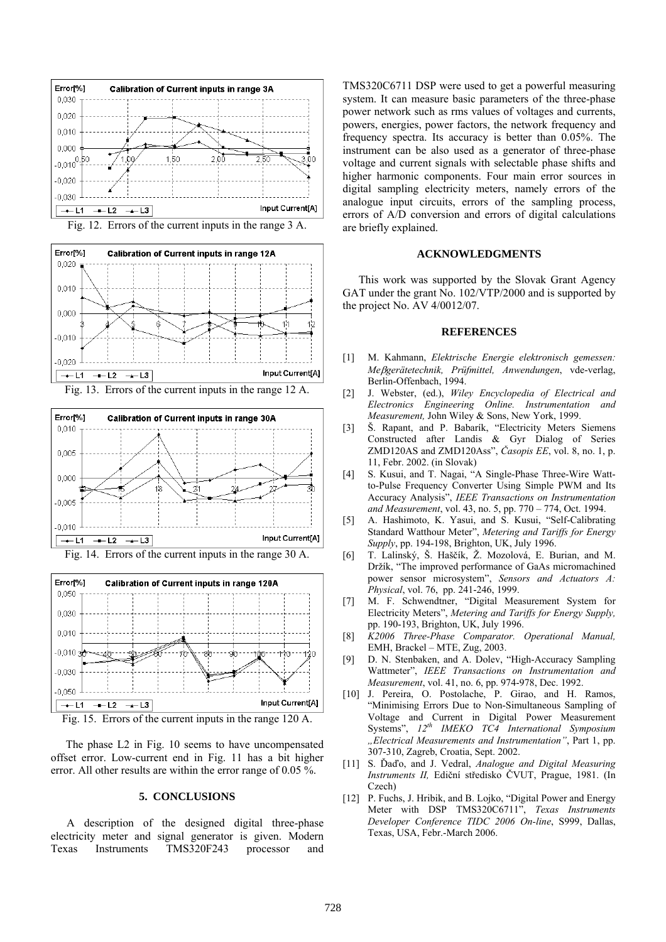

Fig. 12. Errors of the current inputs in the range 3 A.









The phase L2 in Fig. 10 seems to have uncompensated offset error. Low-current end in Fig. 11 has a bit higher error. All other results are within the error range of 0.05 %.

#### **5. CONCLUSIONS**

A description of the designed digital three-phase electricity meter and signal generator is given. Modern Texas Instruments TMS320F243 processor and

TMS320C6711 DSP were used to get a powerful measuring system. It can measure basic parameters of the three-phase power network such as rms values of voltages and currents, powers, energies, power factors, the network frequency and frequency spectra. Its accuracy is better than 0.05%. The instrument can be also used as a generator of three-phase voltage and current signals with selectable phase shifts and higher harmonic components. Four main error sources in digital sampling electricity meters, namely errors of the analogue input circuits, errors of the sampling process, errors of A/D conversion and errors of digital calculations are briefly explained.

#### **ACKNOWLEDGMENTS**

This work was supported by the Slovak Grant Agency GAT under the grant No. 102/VTP/2000 and is supported by the project No. AV 4/0012/07.

#### **REFERENCES**

- [1] M. Kahmann, *Elektrische Energie elektronisch gemessen: Me*β*gerätetechnik, Prüfmittel, Anwendungen*, vde-verlag, Berlin-Offenbach, 1994.
- [2] J. Webster, (ed.), *Wiley Encyclopedia of Electrical and Electronics Engineering Online. Instrumentation and Measurement,* John Wiley & Sons, New York, 1999.
- [3] Š. Rapant, and P. Babarík, "Electricity Meters Siemens Constructed after Landis & Gyr Dialog of Series ZMD120AS and ZMD120Ass", *Časopis EE*, vol. 8, no. 1, p. 11, Febr. 2002. (in Slovak)
- [4] S. Kusui, and T. Nagai, "A Single-Phase Three-Wire Wattto-Pulse Frequency Converter Using Simple PWM and Its Accuracy Analysis", *IEEE Transactions on Instrumentation and Measurement*, vol. 43, no. 5, pp. 770 – 774, Oct. 1994.
- [5] A. Hashimoto, K. Yasui, and S. Kusui, "Self-Calibrating Standard Watthour Meter", *Metering and Tariffs for Energy Supply*, pp. 194-198, Brighton, UK, July 1996.
- [6] T. Lalinský, Š. Haščík, Ž. Mozolová, E. Burian, and M. Držík, "The improved performance of GaAs micromachined power sensor microsystem", *Sensors and Actuators A: Physical*, vol. 76, pp. 241-246, 1999.
- [7] M. F. Schwendtner, "Digital Measurement System for Electricity Meters", *Metering and Tariffs for Energy Supply,* pp. 190-193, Brighton, UK, July 1996.
- [8] *K2006 Three-Phase Comparator. Operational Manual,* EMH, Brackel – MTE, Zug, 2003.
- [9] D. N. Stenbaken, and A. Dolev, "High-Accuracy Sampling Wattmeter", *IEEE Transactions on Instrumentation and Measurement*, vol. 41, no. 6, pp. 974-978, Dec. 1992.
- [10] J. Pereira, O. Postolache, P. Girao, and H. Ramos, "Minimising Errors Due to Non-Simultaneous Sampling of Voltage and Current in Digital Power Measurement Systems", *12th IMEKO TC4 International Symposium "Electrical Measurements and Instrumentation"*, Part 1, pp. 307-310, Zagreb, Croatia, Sept. 2002.
- [11] S. Ďaďo, and J. Vedral, *Analogue and Digital Measuring Instruments II,* Ediční středisko ČVUT, Prague, 1981. (In Czech)
- [12] P. Fuchs, J. Hribik, and B. Lojko, "Digital Power and Energy Meter with DSP TMS320C6711", *Texas Instruments Developer Conference TIDC 2006 On-line*, S999, Dallas, Texas, USA, Febr.-March 2006.